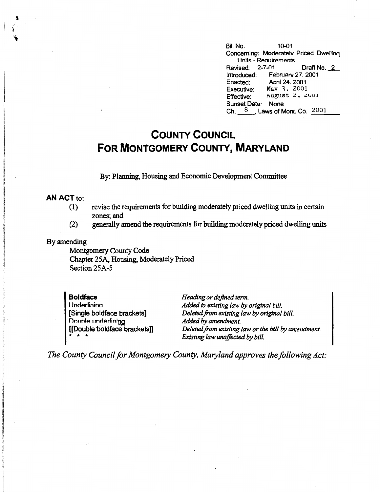Bill No. 10-01 Concerning: Moderatelv Priced Dwellinq Units - Reouirements Revised: 2-7-01 Draft No. 2 Introduced: Februarv 27. 2001 Enacted: Aoril 24. 2001<br>Executive: May 3, 2001 Executive: May 3, 2001<br>Effective: August 2, 2 Effective: August *c.,* .:::uu1 Sunset Date: None Ch.  $\frac{8}{3}$ , Laws of Mont. Co.  $\frac{2001}{3}$ 

## **COUNTY COUNCIL FOR MONTGOMERY COUNTY, MARYLAND**

By: Planning, Housing and Economic Development Committee

## **AN ACT** to:

- (1) revise the requirements for building moderately priced dwelling units in certain zones;and
- (2) generally amend the requirements for building moderately priced dwelling units

## By amending

Montgomery County Code Chapter 25A, Housing, Moderately Priced Section 25A-5

**Boldface**  Underlinina [Single boldface brackets] Double underlining [[Double boldface brackets]] \* \* \*

*Heading or defined term. Added to existing law by original bill. Deleted from existing law by original bill. Added by amendment. Deleted from existing law or the bill by amendment. Existing law unaffected by bill.* 

*The County Council for Montgomery County, Maryland approves the following Act:*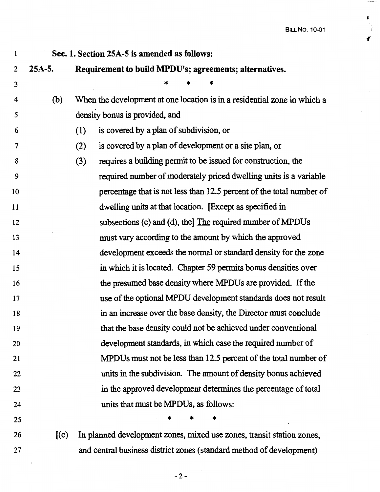BILL No. 10-01

*(* 

¥  $\frac{\sum_{i=1}^{n} x_i}{\sum_{i=1}^{n} x_i}$ 

| $\mathbf{1}$   |          | Sec. 1. Section 25A-5 is amended as follows:                             |
|----------------|----------|--------------------------------------------------------------------------|
| 2              | $25A-5.$ | Requirement to build MPDU's; agreements; alternatives.                   |
| $\mathfrak{Z}$ |          |                                                                          |
| 4              | (b)      | When the development at one location is in a residential zone in which a |
| 5              |          | density bonus is provided, and                                           |
| 6              |          | is covered by a plan of subdivision, or<br>(1)                           |
| 7              |          | is covered by a plan of development or a site plan, or<br>(2)            |
| 8              |          | requires a building permit to be issued for construction, the<br>(3)     |
| 9              |          | required number of moderately priced dwelling units is a variable        |
| 10             |          | percentage that is not less than 12.5 percent of the total number of     |
| 11             |          | dwelling units at that location. [Except as specified in                 |
| 12             |          | subsections (c) and (d), the The required number of MPDUs                |
| 13             |          | must vary according to the amount by which the approved                  |
| 14             |          | development exceeds the normal or standard density for the zone          |
| 15             |          | in which it is located. Chapter 59 permits bonus densities over          |
| 16             |          | the presumed base density where MPDUs are provided. If the               |
| 17             |          | use of the optional MPDU development standards does not result           |
| 18             |          | in an increase over the base density, the Director must conclude         |
| 19             |          | that the base density could not be achieved under conventional           |
| 20             |          | development standards, in which case the required number of              |
| 21             |          | MPDUs must not be less than 12.5 percent of the total number of          |
| 22             |          | units in the subdivision. The amount of density bonus achieved           |
| 23             |          | in the approved development determines the percentage of total           |
| 24             |          | units that must be MPDUs, as follows:                                    |
| 25             |          |                                                                          |
| 26             | (c)      | In planned development zones, mixed use zones, transit station zones,    |

- 27 and central business district zones (standard method of development)
	- -2-